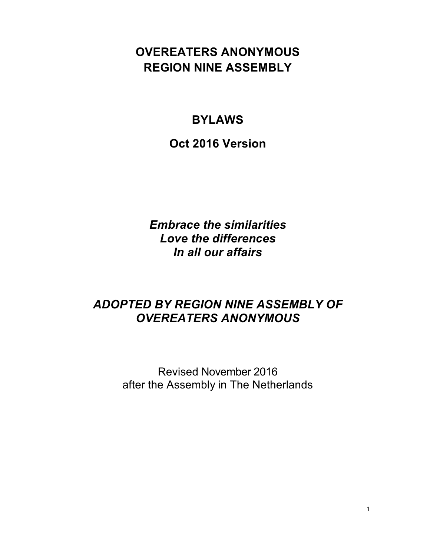# **OVEREATERS ANONYMOUS REGION NINE ASSEMBLY**

# **BYLAWS**

**Oct 2016 Version**

*Embrace the similarities Love the differences In all our affairs*

# *ADOPTED BY REGION NINE ASSEMBLY OF OVEREATERS ANONYMOUS*

Revised November 2016 after the Assembly in The Netherlands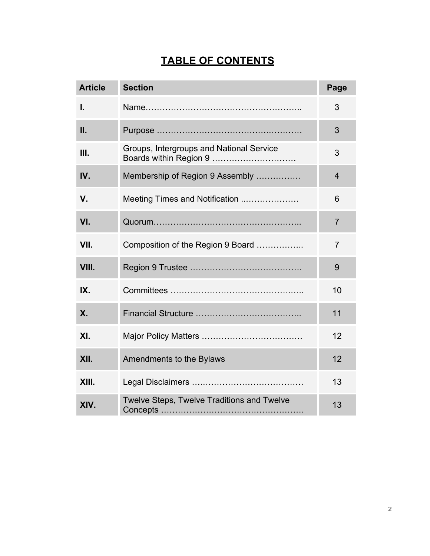# **TABLE OF CONTENTS**

| <b>Article</b> | <b>Section</b>                                                     | Page           |
|----------------|--------------------------------------------------------------------|----------------|
| I.             |                                                                    | 3              |
| Ш.             |                                                                    | 3              |
| Ш.             | Groups, Intergroups and National Service<br>Boards within Region 9 | 3              |
| IV.            | Membership of Region 9 Assembly                                    | $\overline{4}$ |
| V.             | Meeting Times and Notification                                     | 6              |
| VI.            |                                                                    | $\overline{7}$ |
| VII.           | Composition of the Region 9 Board                                  | $\overline{7}$ |
| VIII.          |                                                                    | 9              |
| IX.            |                                                                    | 10             |
| <b>X.</b>      |                                                                    | 11             |
| XI.            |                                                                    | 12             |
| XII.           | Amendments to the Bylaws                                           | 12             |
| XIII.          |                                                                    | 13             |
| XIV.           | Twelve Steps, Twelve Traditions and Twelve                         | 13             |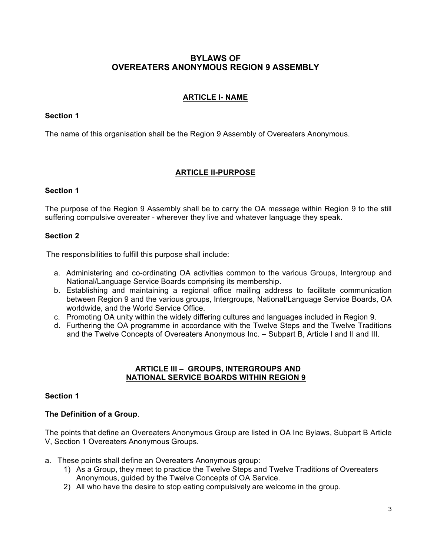# **BYLAWS OF OVEREATERS ANONYMOUS REGION 9 ASSEMBLY**

## **ARTICLE I- NAME**

## **Section 1**

The name of this organisation shall be the Region 9 Assembly of Overeaters Anonymous.

## **ARTICLE II-PURPOSE**

## **Section 1**

The purpose of the Region 9 Assembly shall be to carry the OA message within Region 9 to the still suffering compulsive overeater - wherever they live and whatever language they speak.

## **Section 2**

The responsibilities to fulfill this purpose shall include:

- a. Administering and co-ordinating OA activities common to the various Groups, Intergroup and National/Language Service Boards comprising its membership.
- b. Establishing and maintaining a regional office mailing address to facilitate communication between Region 9 and the various groups, Intergroups, National/Language Service Boards, OA worldwide, and the World Service Office.
- c. Promoting OA unity within the widely differing cultures and languages included in Region 9.
- d. Furthering the OA programme in accordance with the Twelve Steps and the Twelve Traditions and the Twelve Concepts of Overeaters Anonymous Inc. – Subpart B, Article I and II and III.

#### **ARTICLE III – GROUPS, INTERGROUPS AND NATIONAL SERVICE BOARDS WITHIN REGION 9**

#### **Section 1**

## **The Definition of a Group**.

The points that define an Overeaters Anonymous Group are listed in OA Inc Bylaws, Subpart B Article V, Section 1 Overeaters Anonymous Groups.

- a. These points shall define an Overeaters Anonymous group:
	- 1) As a Group, they meet to practice the Twelve Steps and Twelve Traditions of Overeaters Anonymous, guided by the Twelve Concepts of OA Service.
	- 2) All who have the desire to stop eating compulsively are welcome in the group.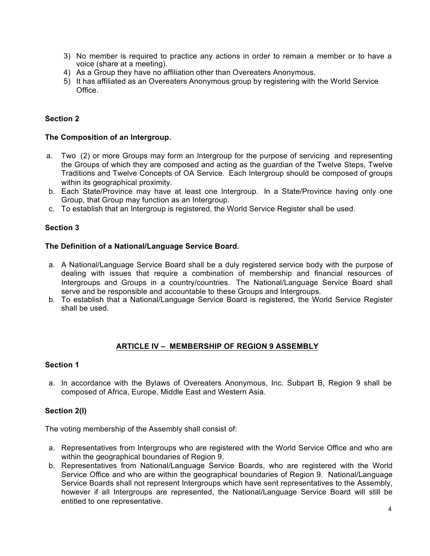- 3) No member is required to practice any actions in order to remain a member or to have a voice (share at a meeting).
- 4) As a Group they have no affiliation other than Overeaters Anonymous.
- 5) It has affiliated as an Overeaters Anonymous group by registering with the World Service **Office**

## **Section 2**

#### **The Composition of an Intergroup.**

- a. Two (2) or more Groups may form an Intergroup for the purpose of servicing and representing the Groups of which they are composed and acting as the guardian of the Twelve Steps, Twelve Traditions and Twelve Concepts of OA Service. Each Intergroup should be composed of groups within its geographical proximity.
- b. Each State/Province may have at least one Intergroup. In a State/Province having only one Group, that Group may function as an Intergroup.
- c. To establish that an Intergroup is registered, the World Service Register shall be used.

## **Section 3**

#### **The Definition of a National/Language Service Board.**

- a. A National/Language Service Board shall be a duly registered service body with the purpose of dealing with issues that require a combination of membership and financial resources of Intergroups and Groups in a country/countries. The National/Language Service Board shall serve and be responsible and accountable to these Groups and Intergroups.
- b. To establish that a National/Language Service Board is registered, the World Service Register shall be used.

#### **ARTICLE IV – MEMBERSHIP OF REGION 9 ASSEMBLY**

#### **Section 1**

a. In accordance with the Bylaws of Overeaters Anonymous, Inc. Subpart B, Region 9 shall be composed of Africa, Europe, Middle East and Western Asia.

#### **Section 2(I)**

The voting membership of the Assembly shall consist of:

- a. Representatives from Intergroups who are registered with the World Service Office and who are within the geographical boundaries of Region 9.
- b. Representatives from National/Language Service Boards, who are registered with the World Service Office and who are within the geographical boundaries of Region 9. National/Language Service Boards shall not represent Intergroups which have sent representatives to the Assembly, however if all Intergroups are represented, the National/Language Service Board will still be entitled to one representative.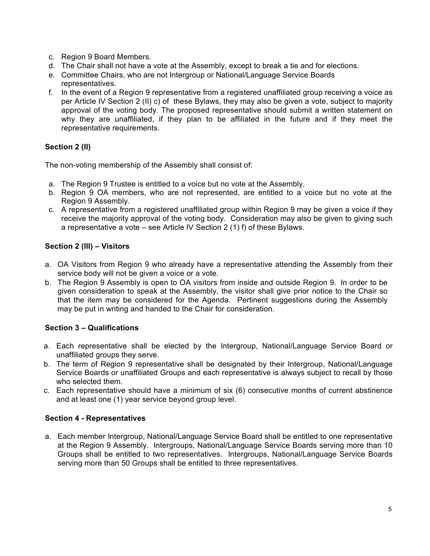- c. Region 9 Board Members.
- d. The Chair shall not have a vote at the Assembly, except to break a tie and for elections.
- e. Committee Chairs, who are not Intergroup or National/Language Service Boards representatives.
- f. In the event of a Region 9 representative from a registered unaffiliated group receiving a voice as per Article IV Section 2 (II) c) of these Bylaws, they may also be given a vote, subject to majority approval of the voting body. The proposed representative should submit a written statement on why they are unaffiliated, if they plan to be affiliated in the future and if they meet the representative requirements.

# **Section 2 (II)**

The non-voting membership of the Assembly shall consist of:

- a. The Region 9 Trustee is entitled to a voice but no vote at the Assembly.
- b. Region 9 OA members, who are not represented, are entitled to a voice but no vote at the Region 9 Assembly.
- c. A representative from a registered unaffiliated group within Region 9 may be given a voice if they receive the majority approval of the voting body. Consideration may also be given to giving such a representative a vote – see Article IV Section 2 (1) f) of these Bylaws.

# **Section 2 (III) – Visitors**

- a. OA Visitors from Region 9 who already have a representative attending the Assembly from their service body will not be given a voice or a vote.
- b. The Region 9 Assembly is open to OA visitors from inside and outside Region 9. In order to be given consideration to speak at the Assembly, the visitor shall give prior notice to the Chair so that the item may be considered for the Agenda. Pertinent suggestions during the Assembly may be put in writing and handed to the Chair for consideration.

# **Section 3 – Qualifications**

- a. Each representative shall be elected by the Intergroup, National/Language Service Board or unaffiliated groups they serve.
- b. The term of Region 9 representative shall be designated by their Intergroup, National/Language Service Boards or unaffiliated Groups and each representative is always subject to recall by those who selected them.
- c. Each representative should have a minimum of six (6) consecutive months of current abstinence and at least one (1) year service beyond group level.

# **Section 4 - Representatives**

a. Each member Intergroup, National/Language Service Board shall be entitled to one representative at the Region 9 Assembly. Intergroups, National/Language Service Boards serving more than 10 Groups shall be entitled to two representatives. Intergroups, National/Language Service Boards serving more than 50 Groups shall be entitled to three representatives.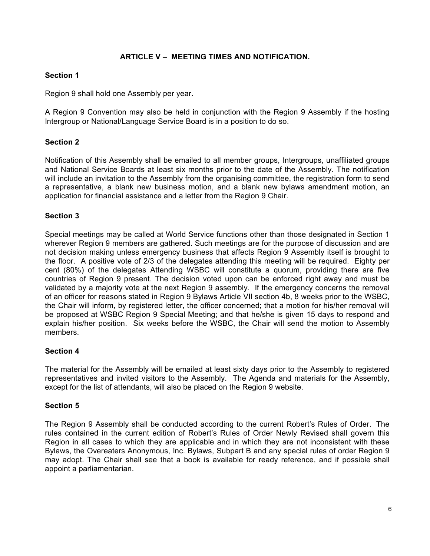## **ARTICLE V – MEETING TIMES AND NOTIFICATION.**

## **Section 1**

Region 9 shall hold one Assembly per year.

A Region 9 Convention may also be held in conjunction with the Region 9 Assembly if the hosting Intergroup or National/Language Service Board is in a position to do so.

## **Section 2**

Notification of this Assembly shall be emailed to all member groups, Intergroups, unaffiliated groups and National Service Boards at least six months prior to the date of the Assembly. The notification will include an invitation to the Assembly from the organising committee, the registration form to send a representative, a blank new business motion, and a blank new bylaws amendment motion, an application for financial assistance and a letter from the Region 9 Chair.

## **Section 3**

Special meetings may be called at World Service functions other than those designated in Section 1 wherever Region 9 members are gathered. Such meetings are for the purpose of discussion and are not decision making unless emergency business that affects Region 9 Assembly itself is brought to the floor. A positive vote of 2/3 of the delegates attending this meeting will be required. Eighty per cent (80%) of the delegates Attending WSBC will constitute a quorum, providing there are five countries of Region 9 present. The decision voted upon can be enforced right away and must be validated by a majority vote at the next Region 9 assembly. If the emergency concerns the removal of an officer for reasons stated in Region 9 Bylaws Article VII section 4b, 8 weeks prior to the WSBC, the Chair will inform, by registered letter, the officer concerned; that a motion for his/her removal will be proposed at WSBC Region 9 Special Meeting; and that he/she is given 15 days to respond and explain his/her position. Six weeks before the WSBC, the Chair will send the motion to Assembly members.

#### **Section 4**

The material for the Assembly will be emailed at least sixty days prior to the Assembly to registered representatives and invited visitors to the Assembly. The Agenda and materials for the Assembly, except for the list of attendants, will also be placed on the Region 9 website.

#### **Section 5**

The Region 9 Assembly shall be conducted according to the current Robert's Rules of Order. The rules contained in the current edition of Robert's Rules of Order Newly Revised shall govern this Region in all cases to which they are applicable and in which they are not inconsistent with these Bylaws, the Overeaters Anonymous, Inc. Bylaws, Subpart B and any special rules of order Region 9 may adopt. The Chair shall see that a book is available for ready reference, and if possible shall appoint a parliamentarian.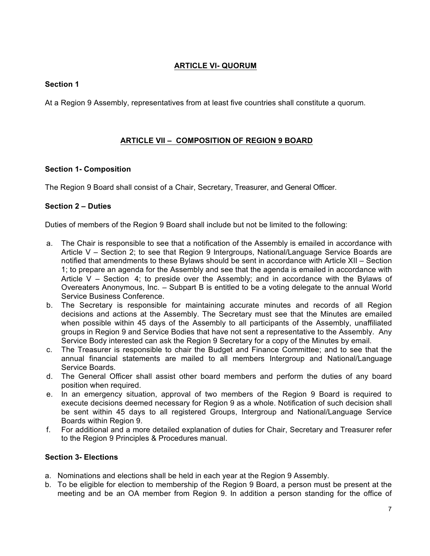# **ARTICLE VI- QUORUM**

## **Section 1**

At a Region 9 Assembly, representatives from at least five countries shall constitute a quorum.

## **ARTICLE VII – COMPOSITION OF REGION 9 BOARD**

## **Section 1- Composition**

The Region 9 Board shall consist of a Chair, Secretary, Treasurer, and General Officer.

## **Section 2 – Duties**

Duties of members of the Region 9 Board shall include but not be limited to the following:

- a. The Chair is responsible to see that a notification of the Assembly is emailed in accordance with Article V – Section 2; to see that Region 9 Intergroups, National/Language Service Boards are notified that amendments to these Bylaws should be sent in accordance with Article XII – Section 1; to prepare an agenda for the Assembly and see that the agenda is emailed in accordance with Article V – Section 4; to preside over the Assembly; and in accordance with the Bylaws of Overeaters Anonymous, Inc. – Subpart B is entitled to be a voting delegate to the annual World Service Business Conference.
- b. The Secretary is responsible for maintaining accurate minutes and records of all Region decisions and actions at the Assembly. The Secretary must see that the Minutes are emailed when possible within 45 days of the Assembly to all participants of the Assembly, unaffiliated groups in Region 9 and Service Bodies that have not sent a representative to the Assembly. Any Service Body interested can ask the Region 9 Secretary for a copy of the Minutes by email.
- c. The Treasurer is responsible to chair the Budget and Finance Committee; and to see that the annual financial statements are mailed to all members Intergroup and National/Language Service Boards.
- d. The General Officer shall assist other board members and perform the duties of any board position when required.
- e. In an emergency situation, approval of two members of the Region 9 Board is required to execute decisions deemed necessary for Region 9 as a whole. Notification of such decision shall be sent within 45 days to all registered Groups, Intergroup and National/Language Service Boards within Region 9.
- f. For additional and a more detailed explanation of duties for Chair, Secretary and Treasurer refer to the Region 9 Principles & Procedures manual.

## **Section 3- Elections**

- a. Nominations and elections shall be held in each year at the Region 9 Assembly.
- b. To be eligible for election to membership of the Region 9 Board, a person must be present at the meeting and be an OA member from Region 9. In addition a person standing for the office of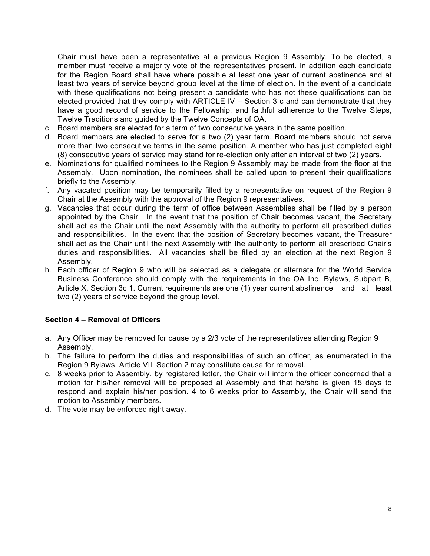Chair must have been a representative at a previous Region 9 Assembly. To be elected, a member must receive a majority vote of the representatives present. In addition each candidate for the Region Board shall have where possible at least one year of current abstinence and at least two years of service beyond group level at the time of election. In the event of a candidate with these qualifications not being present a candidate who has not these qualifications can be elected provided that they comply with ARTICLE IV – Section 3 c and can demonstrate that they have a good record of service to the Fellowship, and faithful adherence to the Twelve Steps, Twelve Traditions and guided by the Twelve Concepts of OA.

- c. Board members are elected for a term of two consecutive years in the same position.
- d. Board members are elected to serve for a two (2) year term. Board members should not serve more than two consecutive terms in the same position. A member who has just completed eight (8) consecutive years of service may stand for re-election only after an interval of two (2) years.
- e. Nominations for qualified nominees to the Region 9 Assembly may be made from the floor at the Assembly. Upon nomination, the nominees shall be called upon to present their qualifications briefly to the Assembly.
- f. Any vacated position may be temporarily filled by a representative on request of the Region 9 Chair at the Assembly with the approval of the Region 9 representatives.
- g. Vacancies that occur during the term of office between Assemblies shall be filled by a person appointed by the Chair. In the event that the position of Chair becomes vacant, the Secretary shall act as the Chair until the next Assembly with the authority to perform all prescribed duties and responsibilities. In the event that the position of Secretary becomes vacant, the Treasurer shall act as the Chair until the next Assembly with the authority to perform all prescribed Chair's duties and responsibilities. All vacancies shall be filled by an election at the next Region 9 Assembly.
- h. Each officer of Region 9 who will be selected as a delegate or alternate for the World Service Business Conference should comply with the requirements in the OA Inc. Bylaws, Subpart B, Article X, Section 3c 1. Current requirements are one (1) year current abstinence and at least two (2) years of service beyond the group level.

#### **Section 4 – Removal of Officers**

- a. Any Officer may be removed for cause by a 2/3 vote of the representatives attending Region 9 Assembly.
- b. The failure to perform the duties and responsibilities of such an officer, as enumerated in the Region 9 Bylaws, Article VII, Section 2 may constitute cause for removal.
- c. 8 weeks prior to Assembly, by registered letter, the Chair will inform the officer concerned that a motion for his/her removal will be proposed at Assembly and that he/she is given 15 days to respond and explain his/her position. 4 to 6 weeks prior to Assembly, the Chair will send the motion to Assembly members.
- d. The vote may be enforced right away.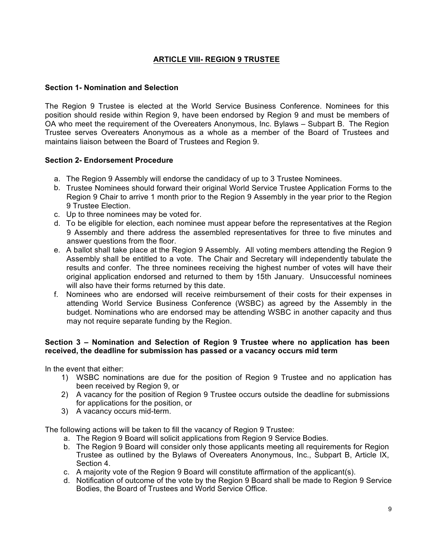# **ARTICLE VIII- REGION 9 TRUSTEE**

#### **Section 1- Nomination and Selection**

The Region 9 Trustee is elected at the World Service Business Conference. Nominees for this position should reside within Region 9, have been endorsed by Region 9 and must be members of OA who meet the requirement of the Overeaters Anonymous, Inc. Bylaws – Subpart B. The Region Trustee serves Overeaters Anonymous as a whole as a member of the Board of Trustees and maintains liaison between the Board of Trustees and Region 9.

## **Section 2- Endorsement Procedure**

- a. The Region 9 Assembly will endorse the candidacy of up to 3 Trustee Nominees.
- b. Trustee Nominees should forward their original World Service Trustee Application Forms to the Region 9 Chair to arrive 1 month prior to the Region 9 Assembly in the year prior to the Region 9 Trustee Election.
- c. Up to three nominees may be voted for.
- d. To be eligible for election, each nominee must appear before the representatives at the Region 9 Assembly and there address the assembled representatives for three to five minutes and answer questions from the floor.
- e. A ballot shall take place at the Region 9 Assembly. All voting members attending the Region 9 Assembly shall be entitled to a vote. The Chair and Secretary will independently tabulate the results and confer. The three nominees receiving the highest number of votes will have their original application endorsed and returned to them by 15th January. Unsuccessful nominees will also have their forms returned by this date.
- f. Nominees who are endorsed will receive reimbursement of their costs for their expenses in attending World Service Business Conference (WSBC) as agreed by the Assembly in the budget. Nominations who are endorsed may be attending WSBC in another capacity and thus may not require separate funding by the Region.

#### **Section 3 – Nomination and Selection of Region 9 Trustee where no application has been received, the deadline for submission has passed or a vacancy occurs mid term**

In the event that either:

- 1) WSBC nominations are due for the position of Region 9 Trustee and no application has been received by Region 9, or
- 2) A vacancy for the position of Region 9 Trustee occurs outside the deadline for submissions for applications for the position, or
- 3) A vacancy occurs mid-term.

The following actions will be taken to fill the vacancy of Region 9 Trustee:

- a. The Region 9 Board will solicit applications from Region 9 Service Bodies.
- b. The Region 9 Board will consider only those applicants meeting all requirements for Region Trustee as outlined by the Bylaws of Overeaters Anonymous, Inc., Subpart B, Article IX, Section 4.
- c. A majority vote of the Region 9 Board will constitute affirmation of the applicant(s).
- d. Notification of outcome of the vote by the Region 9 Board shall be made to Region 9 Service Bodies, the Board of Trustees and World Service Office.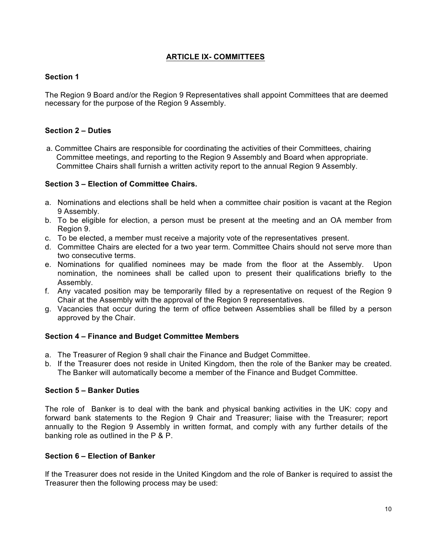## **ARTICLE IX- COMMITTEES**

## **Section 1**

The Region 9 Board and/or the Region 9 Representatives shall appoint Committees that are deemed necessary for the purpose of the Region 9 Assembly.

## **Section 2 – Duties**

a. Committee Chairs are responsible for coordinating the activities of their Committees, chairing Committee meetings, and reporting to the Region 9 Assembly and Board when appropriate. Committee Chairs shall furnish a written activity report to the annual Region 9 Assembly.

## **Section 3 – Election of Committee Chairs.**

- a. Nominations and elections shall be held when a committee chair position is vacant at the Region 9 Assembly.
- b. To be eligible for election, a person must be present at the meeting and an OA member from Region 9.
- c. To be elected, a member must receive a majority vote of the representatives present.
- d. Committee Chairs are elected for a two year term. Committee Chairs should not serve more than two consecutive terms.
- e. Nominations for qualified nominees may be made from the floor at the Assembly. Upon nomination, the nominees shall be called upon to present their qualifications briefly to the Assembly.
- f. Any vacated position may be temporarily filled by a representative on request of the Region 9 Chair at the Assembly with the approval of the Region 9 representatives.
- g. Vacancies that occur during the term of office between Assemblies shall be filled by a person approved by the Chair.

#### **Section 4 – Finance and Budget Committee Members**

- a. The Treasurer of Region 9 shall chair the Finance and Budget Committee.
- b. If the Treasurer does not reside in United Kingdom, then the role of the Banker may be created. The Banker will automatically become a member of the Finance and Budget Committee.

#### **Section 5 – Banker Duties**

The role of Banker is to deal with the bank and physical banking activities in the UK: copy and forward bank statements to the Region 9 Chair and Treasurer; liaise with the Treasurer; report annually to the Region 9 Assembly in written format, and comply with any further details of the banking role as outlined in the P & P.

#### **Section 6 – Election of Banker**

If the Treasurer does not reside in the United Kingdom and the role of Banker is required to assist the Treasurer then the following process may be used: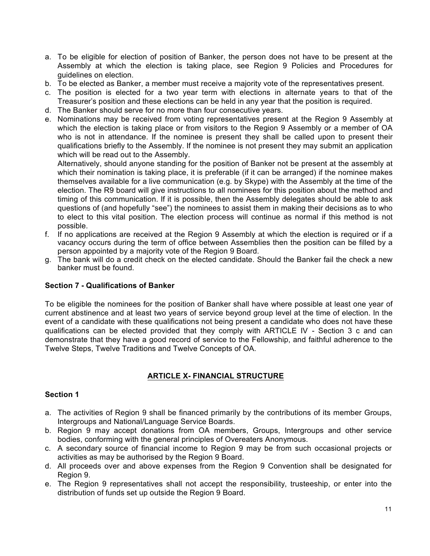- a. To be eligible for election of position of Banker, the person does not have to be present at the Assembly at which the election is taking place, see Region 9 Policies and Procedures for guidelines on election.
- b. To be elected as Banker, a member must receive a majority vote of the representatives present.
- c. The position is elected for a two year term with elections in alternate years to that of the Treasurer's position and these elections can be held in any year that the position is required.
- d. The Banker should serve for no more than four consecutive years.
- e. Nominations may be received from voting representatives present at the Region 9 Assembly at which the election is taking place or from visitors to the Region 9 Assembly or a member of OA who is not in attendance. If the nominee is present they shall be called upon to present their qualifications briefly to the Assembly. If the nominee is not present they may submit an application which will be read out to the Assembly.

Alternatively, should anyone standing for the position of Banker not be present at the assembly at which their nomination is taking place, it is preferable (if it can be arranged) if the nominee makes themselves available for a live communication (e.g. by Skype) with the Assembly at the time of the election. The R9 board will give instructions to all nominees for this position about the method and timing of this communication. If it is possible, then the Assembly delegates should be able to ask questions of (and hopefully "see") the nominees to assist them in making their decisions as to who to elect to this vital position. The election process will continue as normal if this method is not possible.

- f. If no applications are received at the Region 9 Assembly at which the election is required or if a vacancy occurs during the term of office between Assemblies then the position can be filled by a person appointed by a majority vote of the Region 9 Board.
- g. The bank will do a credit check on the elected candidate. Should the Banker fail the check a new banker must be found.

#### **Section 7 - Qualifications of Banker**

To be eligible the nominees for the position of Banker shall have where possible at least one year of current abstinence and at least two years of service beyond group level at the time of election. In the event of a candidate with these qualifications not being present a candidate who does not have these qualifications can be elected provided that they comply with ARTICLE IV - Section 3 c and can demonstrate that they have a good record of service to the Fellowship, and faithful adherence to the Twelve Steps, Twelve Traditions and Twelve Concepts of OA.

## **ARTICLE X- FINANCIAL STRUCTURE**

#### **Section 1**

- a. The activities of Region 9 shall be financed primarily by the contributions of its member Groups, Intergroups and National/Language Service Boards.
- b. Region 9 may accept donations from OA members, Groups, Intergroups and other service bodies, conforming with the general principles of Overeaters Anonymous.
- c. A secondary source of financial income to Region 9 may be from such occasional projects or activities as may be authorised by the Region 9 Board.
- d. All proceeds over and above expenses from the Region 9 Convention shall be designated for Region 9.
- e. The Region 9 representatives shall not accept the responsibility, trusteeship, or enter into the distribution of funds set up outside the Region 9 Board.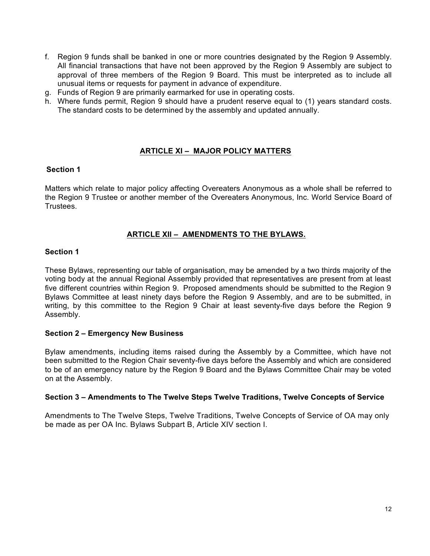- f. Region 9 funds shall be banked in one or more countries designated by the Region 9 Assembly. All financial transactions that have not been approved by the Region 9 Assembly are subject to approval of three members of the Region 9 Board. This must be interpreted as to include all unusual items or requests for payment in advance of expenditure.
- g. Funds of Region 9 are primarily earmarked for use in operating costs.
- h. Where funds permit, Region 9 should have a prudent reserve equal to (1) years standard costs. The standard costs to be determined by the assembly and updated annually.

## **ARTICLE XI – MAJOR POLICY MATTERS**

#### **Section 1**

Matters which relate to major policy affecting Overeaters Anonymous as a whole shall be referred to the Region 9 Trustee or another member of the Overeaters Anonymous, Inc. World Service Board of Trustees.

## **ARTICLE XII – AMENDMENTS TO THE BYLAWS.**

#### **Section 1**

These Bylaws, representing our table of organisation, may be amended by a two thirds majority of the voting body at the annual Regional Assembly provided that representatives are present from at least five different countries within Region 9. Proposed amendments should be submitted to the Region 9 Bylaws Committee at least ninety days before the Region 9 Assembly, and are to be submitted, in writing, by this committee to the Region 9 Chair at least seventy-five days before the Region 9 Assembly.

#### **Section 2 – Emergency New Business**

Bylaw amendments, including items raised during the Assembly by a Committee, which have not been submitted to the Region Chair seventy-five days before the Assembly and which are considered to be of an emergency nature by the Region 9 Board and the Bylaws Committee Chair may be voted on at the Assembly.

#### **Section 3 – Amendments to The Twelve Steps Twelve Traditions, Twelve Concepts of Service**

Amendments to The Twelve Steps, Twelve Traditions, Twelve Concepts of Service of OA may only be made as per OA Inc. Bylaws Subpart B, Article XIV section I.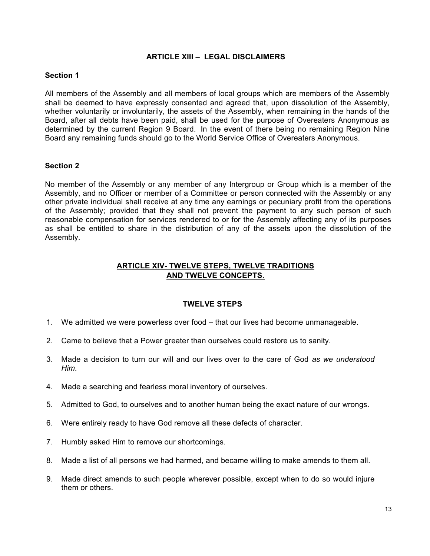## **ARTICLE XIII – LEGAL DISCLAIMERS**

## **Section 1**

All members of the Assembly and all members of local groups which are members of the Assembly shall be deemed to have expressly consented and agreed that, upon dissolution of the Assembly, whether voluntarily or involuntarily, the assets of the Assembly, when remaining in the hands of the Board, after all debts have been paid, shall be used for the purpose of Overeaters Anonymous as determined by the current Region 9 Board. In the event of there being no remaining Region Nine Board any remaining funds should go to the World Service Office of Overeaters Anonymous.

#### **Section 2**

No member of the Assembly or any member of any Intergroup or Group which is a member of the Assembly, and no Officer or member of a Committee or person connected with the Assembly or any other private individual shall receive at any time any earnings or pecuniary profit from the operations of the Assembly; provided that they shall not prevent the payment to any such person of such reasonable compensation for services rendered to or for the Assembly affecting any of its purposes as shall be entitled to share in the distribution of any of the assets upon the dissolution of the Assembly.

## **ARTICLE XIV- TWELVE STEPS, TWELVE TRADITIONS AND TWELVE CONCEPTS.**

#### **TWELVE STEPS**

- 1. We admitted we were powerless over food that our lives had become unmanageable.
- 2. Came to believe that a Power greater than ourselves could restore us to sanity.
- 3. Made a decision to turn our will and our lives over to the care of God *as we understood Him.*
- 4. Made a searching and fearless moral inventory of ourselves.
- 5. Admitted to God, to ourselves and to another human being the exact nature of our wrongs.
- 6. Were entirely ready to have God remove all these defects of character.
- 7. Humbly asked Him to remove our shortcomings.
- 8. Made a list of all persons we had harmed, and became willing to make amends to them all.
- 9. Made direct amends to such people wherever possible, except when to do so would injure them or others.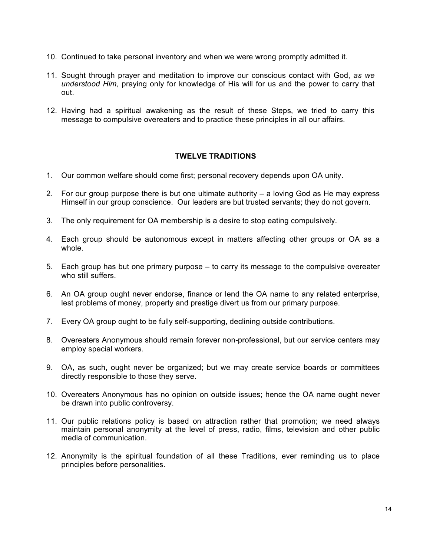- 10. Continued to take personal inventory and when we were wrong promptly admitted it.
- 11. Sought through prayer and meditation to improve our conscious contact with God, *as we understood Him,* praying only for knowledge of His will for us and the power to carry that out.
- 12. Having had a spiritual awakening as the result of these Steps, we tried to carry this message to compulsive overeaters and to practice these principles in all our affairs.

## **TWELVE TRADITIONS**

- 1. Our common welfare should come first; personal recovery depends upon OA unity.
- 2. For our group purpose there is but one ultimate authority a loving God as He may express Himself in our group conscience. Our leaders are but trusted servants; they do not govern.
- 3. The only requirement for OA membership is a desire to stop eating compulsively.
- 4. Each group should be autonomous except in matters affecting other groups or OA as a whole.
- 5. Each group has but one primary purpose to carry its message to the compulsive overeater who still suffers.
- 6. An OA group ought never endorse, finance or lend the OA name to any related enterprise, lest problems of money, property and prestige divert us from our primary purpose.
- 7. Every OA group ought to be fully self-supporting, declining outside contributions.
- 8. Overeaters Anonymous should remain forever non-professional, but our service centers may employ special workers.
- 9. OA, as such, ought never be organized; but we may create service boards or committees directly responsible to those they serve.
- 10. Overeaters Anonymous has no opinion on outside issues; hence the OA name ought never be drawn into public controversy.
- 11. Our public relations policy is based on attraction rather that promotion; we need always maintain personal anonymity at the level of press, radio, films, television and other public media of communication.
- 12. Anonymity is the spiritual foundation of all these Traditions, ever reminding us to place principles before personalities.